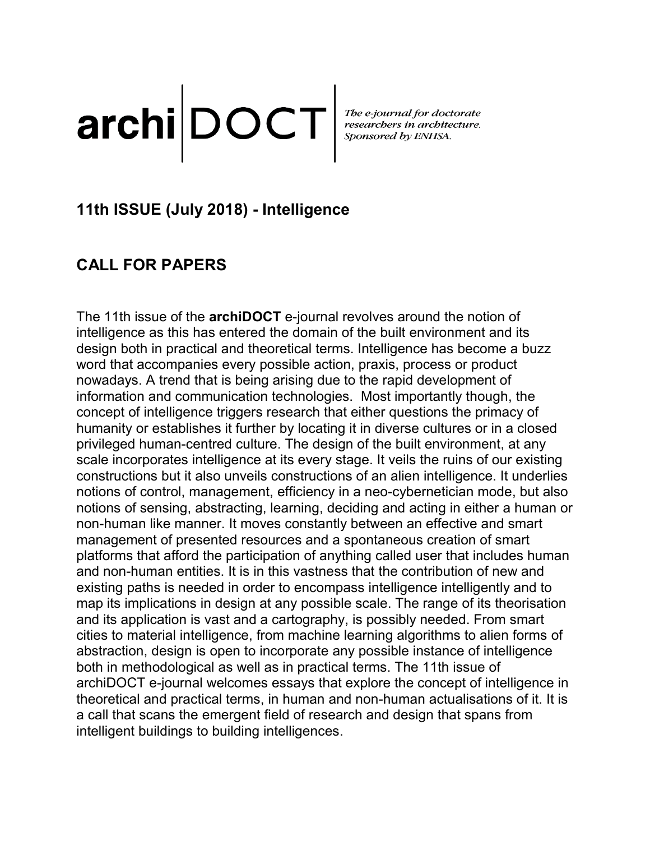# archi DOCT <br>Sponsored by ENHSA.

# **11th ISSUE (July 2018) - Intelligence**

# **CALL FOR PAPERS**

The 11th issue of the **archiDOCT** e-journal revolves around the notion of intelligence as this has entered the domain of the built environment and its design both in practical and theoretical terms. Intelligence has become a buzz word that accompanies every possible action, praxis, process or product nowadays. A trend that is being arising due to the rapid development of information and communication technologies. Most importantly though, the concept of intelligence triggers research that either questions the primacy of humanity or establishes it further by locating it in diverse cultures or in a closed privileged human-centred culture. The design of the built environment, at any scale incorporates intelligence at its every stage. It veils the ruins of our existing constructions but it also unveils constructions of an alien intelligence. It underlies notions of control, management, efficiency in a neo-cybernetician mode, but also notions of sensing, abstracting, learning, deciding and acting in either a human or non-human like manner. It moves constantly between an effective and smart management of presented resources and a spontaneous creation of smart platforms that afford the participation of anything called user that includes human and non-human entities. It is in this vastness that the contribution of new and existing paths is needed in order to encompass intelligence intelligently and to map its implications in design at any possible scale. The range of its theorisation and its application is vast and a cartography, is possibly needed. From smart cities to material intelligence, from machine learning algorithms to alien forms of abstraction, design is open to incorporate any possible instance of intelligence both in methodological as well as in practical terms. The 11th issue of archiDOCT e-journal welcomes essays that explore the concept of intelligence in theoretical and practical terms, in human and non-human actualisations of it. It is a call that scans the emergent field of research and design that spans from intelligent buildings to building intelligences.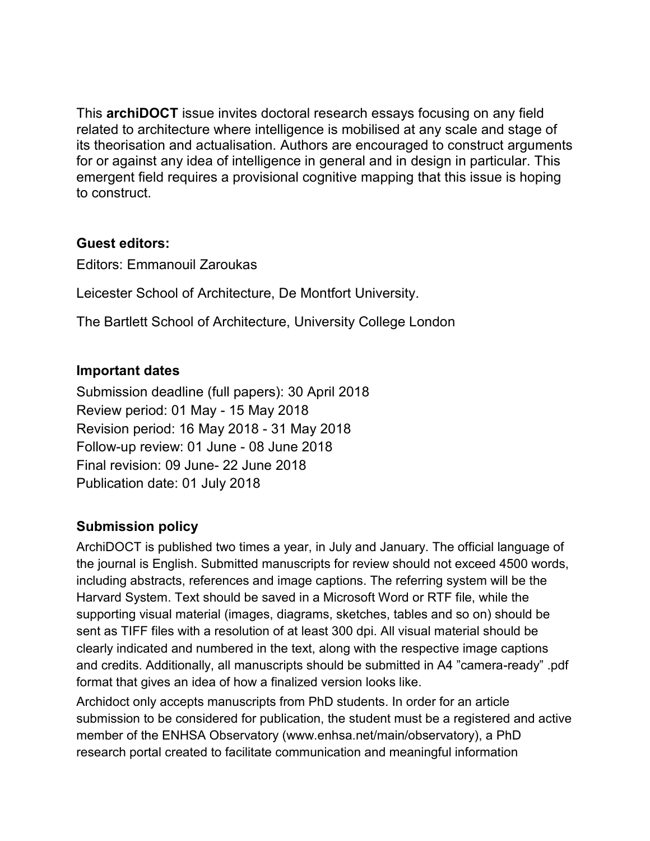This **archiDOCT** issue invites doctoral research essays focusing on any field related to architecture where intelligence is mobilised at any scale and stage of its theorisation and actualisation. Authors are encouraged to construct arguments for or against any idea of intelligence in general and in design in particular. This emergent field requires a provisional cognitive mapping that this issue is hoping to construct.

### **Guest editors:**

Editors: Emmanouil Zaroukas

Leicester School of Architecture, De Montfort University.

The Bartlett School of Architecture, University College London

### **Important dates**

Submission deadline (full papers): 30 April 2018 Review period: 01 May - 15 May 2018 Revision period: 16 May 2018 - 31 May 2018 Follow-up review: 01 June - 08 June 2018 Final revision: 09 June- 22 June 2018 Publication date: 01 July 2018

### **Submission policy**

ArchiDOCT is published two times a year, in July and January. The official language of the journal is English. Submitted manuscripts for review should not exceed 4500 words, including abstracts, references and image captions. The referring system will be the Harvard System. Text should be saved in a Microsoft Word or RTF file, while the supporting visual material (images, diagrams, sketches, tables and so on) should be sent as TIFF files with a resolution of at least 300 dpi. All visual material should be clearly indicated and numbered in the text, along with the respective image captions and credits. Additionally, all manuscripts should be submitted in A4 "camera-ready" .pdf format that gives an idea of how a finalized version looks like.

Archidoct only accepts manuscripts from PhD students. In order for an article submission to be considered for publication, the student must be a registered and active member of the ENHSA Observatory (www.enhsa.net/main/observatory), a PhD research portal created to facilitate communication and meaningful information